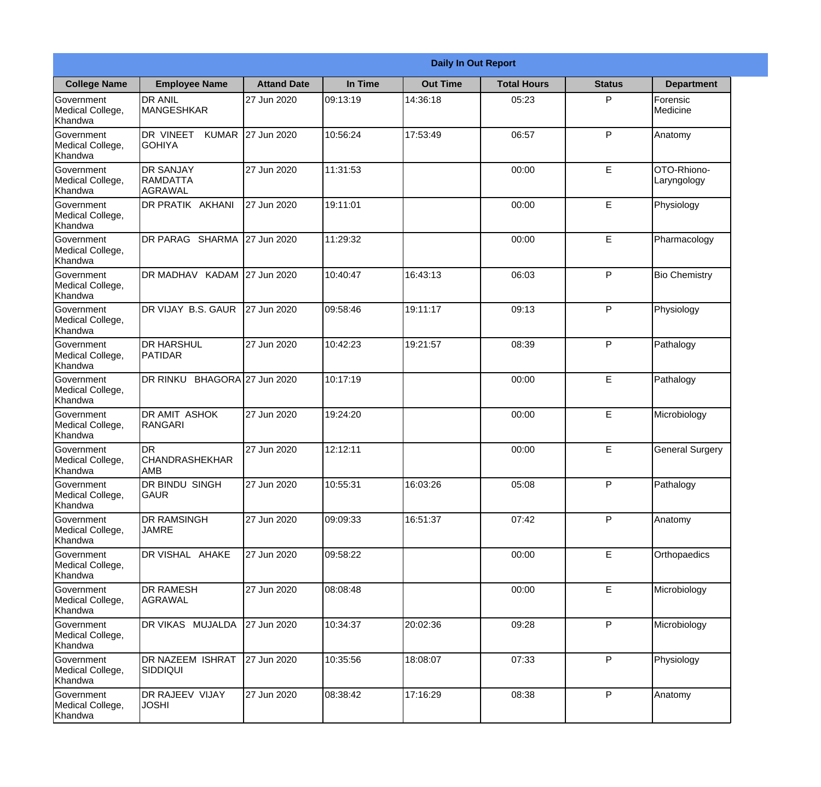|                                                  |                                                        |                     |          | <b>Daily In Out Report</b> |                    |               |                            |
|--------------------------------------------------|--------------------------------------------------------|---------------------|----------|----------------------------|--------------------|---------------|----------------------------|
| <b>College Name</b>                              | <b>Employee Name</b>                                   | <b>Attand Date</b>  | In Time  | <b>Out Time</b>            | <b>Total Hours</b> | <b>Status</b> | <b>Department</b>          |
| Government<br>Medical College,<br>Khandwa        | <b>DR ANIL</b><br><b>MANGESHKAR</b>                    | 27 Jun 2020         | 09:13:19 | 14:36:18                   | 05:23              | P             | Forensic<br>Medicine       |
| Government<br>Medical College,<br>Khandwa        | DR VINEET<br><b>KUMAR</b><br><b>GOHIYA</b>             | 27 Jun 2020         | 10:56:24 | 17:53:49                   | 06:57              | P             | Anatomy                    |
| <b>Government</b><br>Medical College,<br>Khandwa | <b>IDR SANJAY</b><br><b>RAMDATTA</b><br><b>AGRAWAL</b> | 27 Jun 2020         | 11:31:53 |                            | 00:00              | E             | OTO-Rhiono-<br>Laryngology |
| Government<br>Medical College,<br>Khandwa        | <b>DR PRATIK AKHANI</b>                                | 27 Jun 2020         | 19:11:01 |                            | 00:00              | E             | Physiology                 |
| Government<br>Medical College,<br>Khandwa        | DR PARAG SHARMA                                        | 27 Jun 2020         | 11:29:32 |                            | 00:00              | E             | Pharmacology               |
| Government<br>Medical College,<br>Khandwa        | DR MADHAV KADAM 27 Jun 2020                            |                     | 10:40:47 | 16:43:13                   | 06:03              | P             | <b>Bio Chemistry</b>       |
| Government<br>Medical College,<br>Khandwa        | DR VIJAY B.S. GAUR                                     | 27 Jun 2020         | 09:58:46 | 19:11:17                   | 09:13              | P             | Physiology                 |
| Government<br>Medical College,<br>Khandwa        | <b>DR HARSHUL</b><br>PATIDAR                           | 27 Jun 2020         | 10:42:23 | 19:21:57                   | 08:39              | P             | Pathalogy                  |
| Government<br>Medical College,<br>Khandwa        | DR RINKU                                               | BHAGORA 27 Jun 2020 | 10:17:19 |                            | 00:00              | E             | Pathalogy                  |
| Government<br>Medical College,<br>Khandwa        | <b>DR AMIT ASHOK</b><br>RANGARI                        | 27 Jun 2020         | 19:24:20 |                            | 00:00              | E             | Microbiology               |
| Government<br>Medical College,<br>Khandwa        | IDR<br><b>CHANDRASHEKHAR</b><br> AMB                   | 27 Jun 2020         | 12:12:11 |                            | 00:00              | E             | <b>General Surgery</b>     |
| Government<br>Medical College,<br>Khandwa        | DR BINDU SINGH<br><b>GAUR</b>                          | 27 Jun 2020         | 10:55:31 | 16:03:26                   | 05:08              | P             | Pathalogy                  |
| Government<br>Medical College,<br>Khandwa        | <b>DR RAMSINGH</b><br><b>JAMRE</b>                     | 27 Jun 2020         | 09:09:33 | 16:51:37                   | 07:42              | P             | Anatomy                    |
| Government<br>Medical College,<br>Khandwa        | DR VISHAL AHAKE                                        | 27 Jun 2020         | 09:58:22 |                            | 00:00              | E             | Orthopaedics               |
| Government<br>Medical College,<br>Khandwa        | <b>DR RAMESH</b><br>AGRAWAL                            | 27 Jun 2020         | 08:08:48 |                            | 00:00              | E             | Microbiology               |
| Government<br>Medical College,<br>Khandwa        | <b>DR VIKAS MUJALDA</b>                                | 27 Jun 2020         | 10:34:37 | 20:02:36                   | 09:28              | P             | Microbiology               |
| Government<br>Medical College,<br>Khandwa        | <b>DR NAZEEM ISHRAT</b><br><b>SIDDIQUI</b>             | 27 Jun 2020         | 10:35:56 | 18:08:07                   | 07:33              | P             | Physiology                 |
| Government<br>Medical College,<br>Khandwa        | DR RAJEEV VIJAY<br><b>JOSHI</b>                        | 27 Jun 2020         | 08:38:42 | 17:16:29                   | 08:38              | P             | Anatomy                    |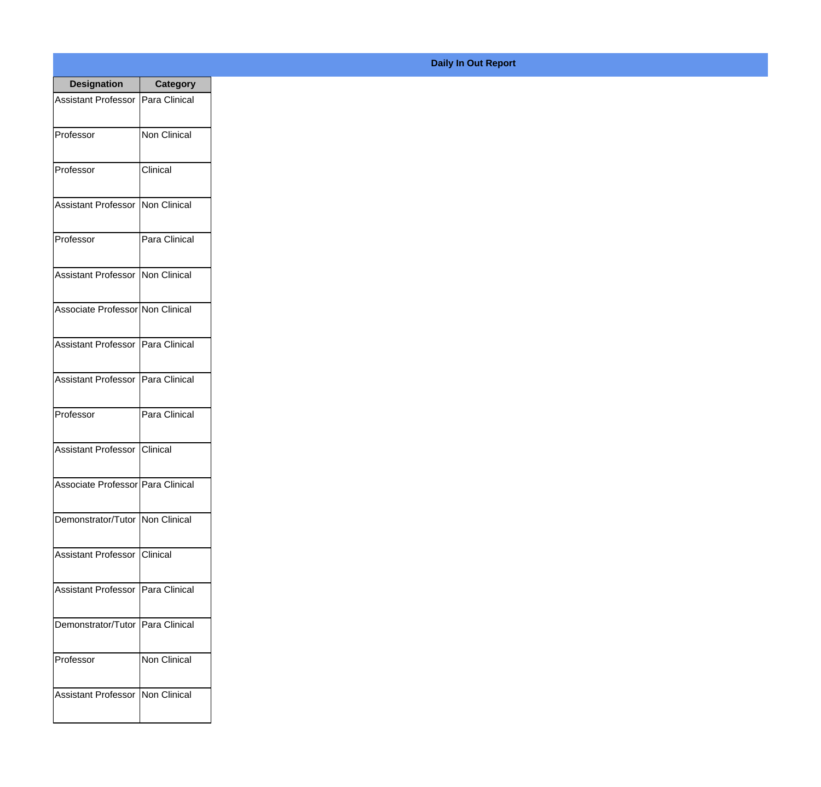| <b>Designation</b>                  | <b>Category</b>     |
|-------------------------------------|---------------------|
| <b>Assistant Professor</b>          | Para Clinical       |
| Professor                           | <b>Non Clinical</b> |
| Professor                           | Clinical            |
| Assistant Professor                 | Non Clinical        |
| Professor                           | Para Clinical       |
| <b>Assistant Professor</b>          | Non Clinical        |
| Associate Professor Non Clinical    |                     |
| Assistant Professor   Para Clinical |                     |
| Assistant Professor   Para Clinical |                     |
| Professor                           | Para Clinical       |
| <b>Assistant Professor</b>          | <b>Clinical</b>     |
| Associate Professor Para Clinical   |                     |
| Demonstrator/Tutor   Non Clinical   |                     |
| <b>Assistant Professor</b>          | IClinical           |
| <b>Assistant Professor</b>          | Para Clinical       |
| Demonstrator/Tutor                  | Para Clinical       |
| Professor                           | Non Clinical        |
| <b>Assistant Professor</b>          | Non Clinical        |

## **Daily In Out Report**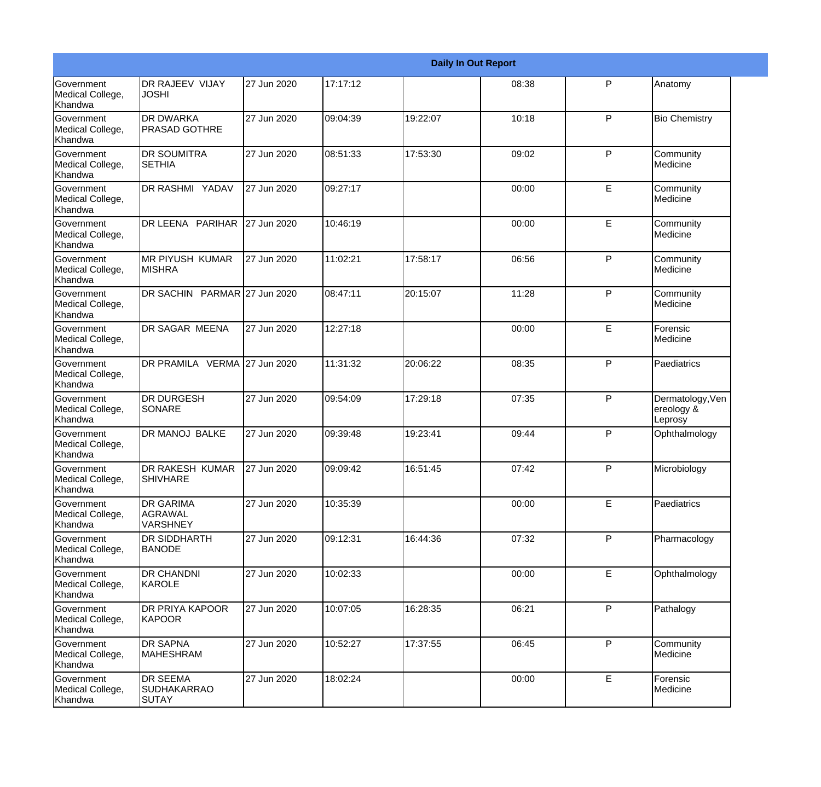|                                                         |                                                       |             |           |          | <b>Daily In Out Report</b> |              |                                           |
|---------------------------------------------------------|-------------------------------------------------------|-------------|-----------|----------|----------------------------|--------------|-------------------------------------------|
| Government<br>Medical College,<br>Khandwa               | DR RAJEEV VIJAY<br><b>JOSHI</b>                       | 27 Jun 2020 | 17:17:12  |          | 08:38                      | P            | Anatomy                                   |
| <b>Government</b><br>Medical College,<br>Khandwa        | <b>DR DWARKA</b><br><b>PRASAD GOTHRE</b>              | 27 Jun 2020 | 09:04:39  | 19:22:07 | 10:18                      | $\mathsf{P}$ | <b>Bio Chemistry</b>                      |
| <b>Government</b><br>Medical College,<br>Khandwa        | <b>DR SOUMITRA</b><br><b>SETHIA</b>                   | 27 Jun 2020 | 08:51:33  | 17:53:30 | 09:02                      | P            | Community<br>Medicine                     |
| <b>Government</b><br>Medical College,<br>Khandwa        | DR RASHMI YADAV                                       | 27 Jun 2020 | 09:27:17  |          | 00:00                      | E            | Community<br>Medicine                     |
| Government<br>Medical College,<br>Khandwa               | DR LEENA PARIHAR                                      | 27 Jun 2020 | 10:46:19  |          | 00:00                      | E            | Community<br>Medicine                     |
| <b>Government</b><br>Medical College,<br><b>Khandwa</b> | <b>MR PIYUSH KUMAR</b><br><b>MISHRA</b>               | 27 Jun 2020 | 11:02:21  | 17:58:17 | 06:56                      | $\mathsf{P}$ | Community<br>Medicine                     |
| <b>Government</b><br>Medical College,<br><b>Khandwa</b> | DR SACHIN PARMAR 27 Jun 2020                          |             | 08:47:11  | 20:15:07 | 11:28                      | P            | Community<br>Medicine                     |
| Government<br>Medical College,<br>Khandwa               | DR SAGAR MEENA                                        | 27 Jun 2020 | 12:27:18  |          | 00:00                      | E            | Forensic<br>Medicine                      |
| Government<br>Medical College,<br>Khandwa               | DR PRAMILA VERMA 27 Jun 2020                          |             | 11:31:32  | 20:06:22 | 08:35                      | P            | Paediatrics                               |
| <b>Government</b><br>Medical College,<br>Khandwa        | <b>DR DURGESH</b><br>SONARE                           | 27 Jun 2020 | 09:54:09  | 17:29:18 | 07:35                      | $\mathsf{P}$ | Dermatology, Ven<br>ereology &<br>Leprosy |
| <b>Government</b><br>Medical College,<br>Khandwa        | <b>DR MANOJ BALKE</b>                                 | 27 Jun 2020 | 09:39:48  | 19:23:41 | 09:44                      | P            | Ophthalmology                             |
| Government<br>Medical College,<br>Khandwa               | DR RAKESH KUMAR<br><b>SHIVHARE</b>                    | 27 Jun 2020 | 109:09:42 | 16:51:45 | 07:42                      | P            | Microbiology                              |
| <b>Government</b><br>Medical College,<br>Khandwa        | <b>DR GARIMA</b><br><b>AGRAWAL</b><br><b>VARSHNEY</b> | 27 Jun 2020 | 10:35:39  |          | 00:00                      | E            | Paediatrics                               |
| Government<br>Medical College,<br>Khandwa               | <b>DR SIDDHARTH</b><br><b>BANODE</b>                  | 27 Jun 2020 | 09:12:31  | 16:44:36 | 07:32                      | $\mathsf{P}$ | Pharmacology                              |
| Government<br>Medical College,<br>Khandwa               | <b>DR CHANDNI</b><br>KAROLE                           | 27 Jun 2020 | 10:02:33  |          | 00:00                      | E            | Ophthalmology                             |
| Government<br>Medical College,<br>Khandwa               | <b>DR PRIYA KAPOOR</b><br>KAPOOR                      | 27 Jun 2020 | 10:07:05  | 16:28:35 | 06:21                      | P            | Pathalogy                                 |
| Government<br>Medical College,<br>Khandwa               | <b>DR SAPNA</b><br><b>MAHESHRAM</b>                   | 27 Jun 2020 | 10:52:27  | 17:37:55 | 06:45                      | P            | Community<br>Medicine                     |
| Government<br>Medical College,<br>Khandwa               | <b>DR SEEMA</b><br><b>SUDHAKARRAO</b><br>SUTAY        | 27 Jun 2020 | 18:02:24  |          | 00:00                      | E            | Forensic<br>Medicine                      |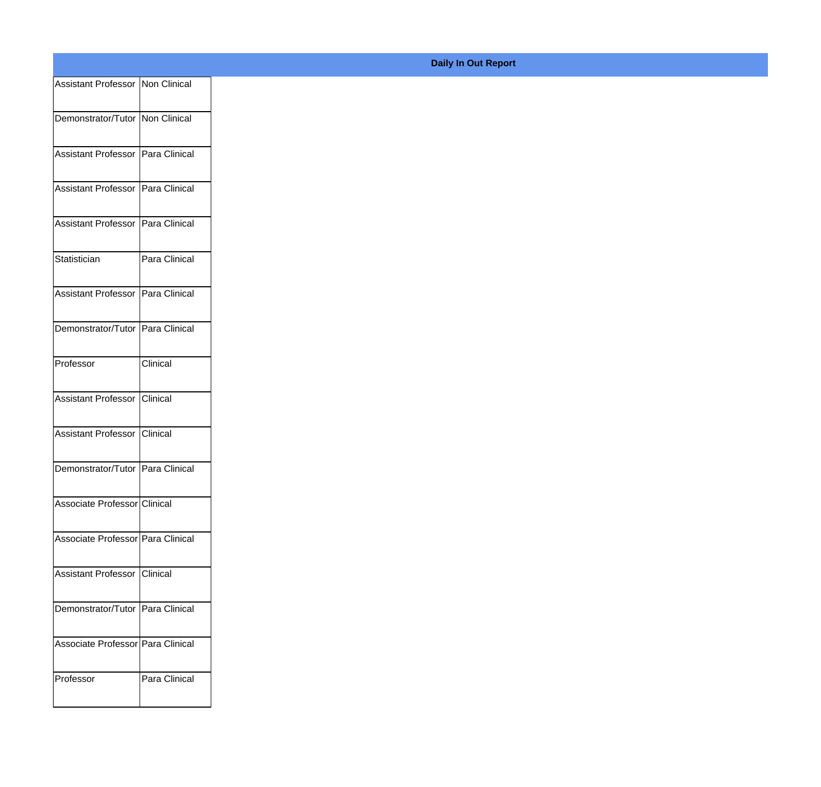| Assistant Professor   Non Clinical  |               |
|-------------------------------------|---------------|
|                                     |               |
| Demonstrator/Tutor   Non Clinical   |               |
| Assistant Professor   Para Clinical |               |
| Assistant Professor Para Clinical   |               |
|                                     |               |
| Assistant Professor   Para Clinical |               |
| Statistician                        | Para Clinical |
|                                     |               |
| Assistant Professor   Para Clinical |               |
| Demonstrator/Tutor Para Clinical    |               |
|                                     |               |
| Professor                           | Clinical      |
| Assistant Professor Clinical        |               |
| Assistant Professor   Clinical      |               |
|                                     |               |
| Demonstrator/Tutor   Para Clinical  |               |
| Associate Professor Clinical        |               |
|                                     |               |
| Associate Professor Para Clinical   |               |
| Assistant Professor Clinical        |               |
|                                     |               |
| Demonstrator/Tutor   Para Clinical  |               |
| Associate Professor Para Clinical   |               |
| Professor                           | Para Clinical |
|                                     |               |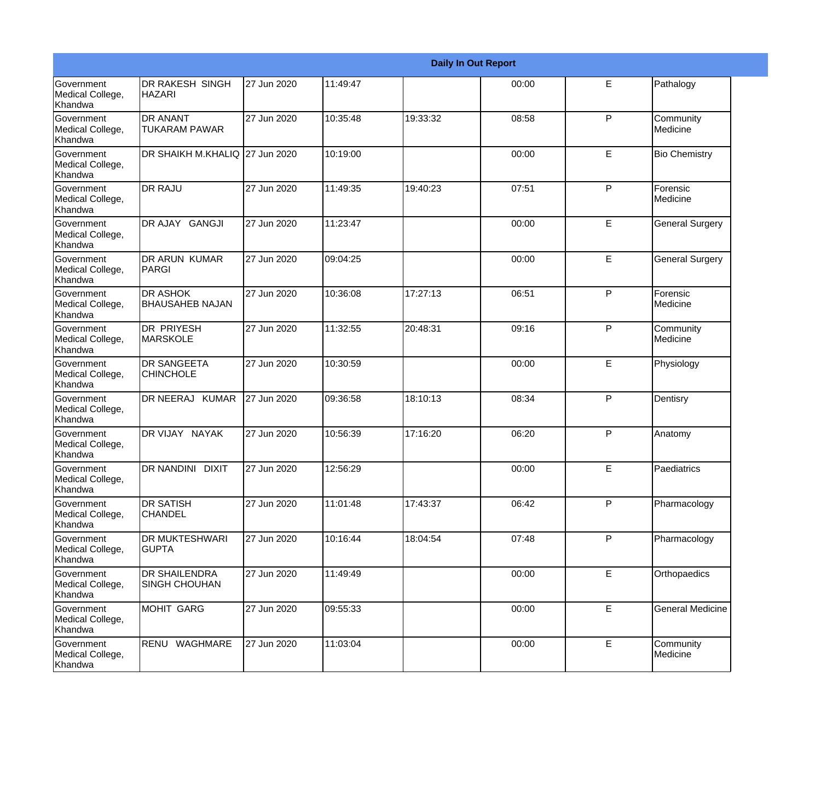|                                                  |                                              |             |          |          | <b>Daily In Out Report</b> |   |                         |
|--------------------------------------------------|----------------------------------------------|-------------|----------|----------|----------------------------|---|-------------------------|
| <b>Government</b><br>Medical College,<br>Khandwa | DR RAKESH SINGH<br><b>HAZARI</b>             | 27 Jun 2020 | 11:49:47 |          | 00:00                      | E | Pathalogy               |
| Government<br>Medical College,<br>Khandwa        | <b>DR ANANT</b><br><b>TUKARAM PAWAR</b>      | 27 Jun 2020 | 10:35:48 | 19:33:32 | 08:58                      | P | Community<br>Medicine   |
| <b>Government</b><br>Medical College,<br>Khandwa | DR SHAIKH M.KHALIQ 27 Jun 2020               |             | 10:19:00 |          | 00:00                      | E | <b>Bio Chemistry</b>    |
| <b>Government</b><br>Medical College,<br>Khandwa | <b>DR RAJU</b>                               | 27 Jun 2020 | 11:49:35 | 19:40:23 | 07:51                      | P | Forensic<br>Medicine    |
| Government<br>Medical College,<br>Khandwa        | DR AJAY GANGJI                               | 27 Jun 2020 | 11:23:47 |          | 00:00                      | E | <b>General Surgery</b>  |
| Government<br>Medical College,<br>Khandwa        | DR ARUN KUMAR<br>PARGI                       | 27 Jun 2020 | 09:04:25 |          | 00:00                      | E | <b>General Surgery</b>  |
| <b>Government</b><br>Medical College,<br>Khandwa | <b>DR ASHOK</b><br><b>BHAUSAHEB NAJAN</b>    | 27 Jun 2020 | 10:36:08 | 17:27:13 | 06:51                      | P | Forensic<br>Medicine    |
| Government<br>Medical College,<br>Khandwa        | <b>DR PRIYESH</b><br><b>MARSKOLE</b>         | 27 Jun 2020 | 11:32:55 | 20:48:31 | 09:16                      | P | Community<br>Medicine   |
| Government<br>Medical College,<br>Khandwa        | DR SANGEETA<br><b>CHINCHOLE</b>              | 27 Jun 2020 | 10:30:59 |          | 00:00                      | E | Physiology              |
| Government<br>Medical College,<br>Khandwa        | DR NEERAJ KUMAR                              | 27 Jun 2020 | 09:36:58 | 18:10:13 | 08:34                      | P | Dentisry                |
| <b>Government</b><br>Medical College,<br>Khandwa | DR VIJAY NAYAK                               | 27 Jun 2020 | 10:56:39 | 17:16:20 | 06:20                      | P | Anatomy                 |
| Government<br>Medical College,<br>Khandwa        | DR NANDINI DIXIT                             | 27 Jun 2020 | 12:56:29 |          | 00:00                      | E | Paediatrics             |
| Government<br>Medical College,<br>Khandwa        | <b>DR SATISH</b><br><b>CHANDEL</b>           | 27 Jun 2020 | 11:01:48 | 17:43:37 | 06:42                      | P | Pharmacology            |
| Government<br>Medical College,<br>Khandwa        | DR MUKTESHWARI<br><b>GUPTA</b>               | 27 Jun 2020 | 10:16:44 | 18:04:54 | 07:48                      | P | Pharmacology            |
| Government<br>Medical College,<br>Khandwa        | <b>DR SHAILENDRA</b><br><b>SINGH CHOUHAN</b> | 27 Jun 2020 | 11:49:49 |          | 00:00                      | E | Orthopaedics            |
| Government<br>Medical College,<br>Khandwa        | <b>MOHIT GARG</b>                            | 27 Jun 2020 | 09:55:33 |          | 00:00                      | E | <b>General Medicine</b> |
| Government<br>Medical College,<br>Khandwa        | RENU WAGHMARE                                | 27 Jun 2020 | 11:03:04 |          | 00:00                      | E | Community<br>Medicine   |